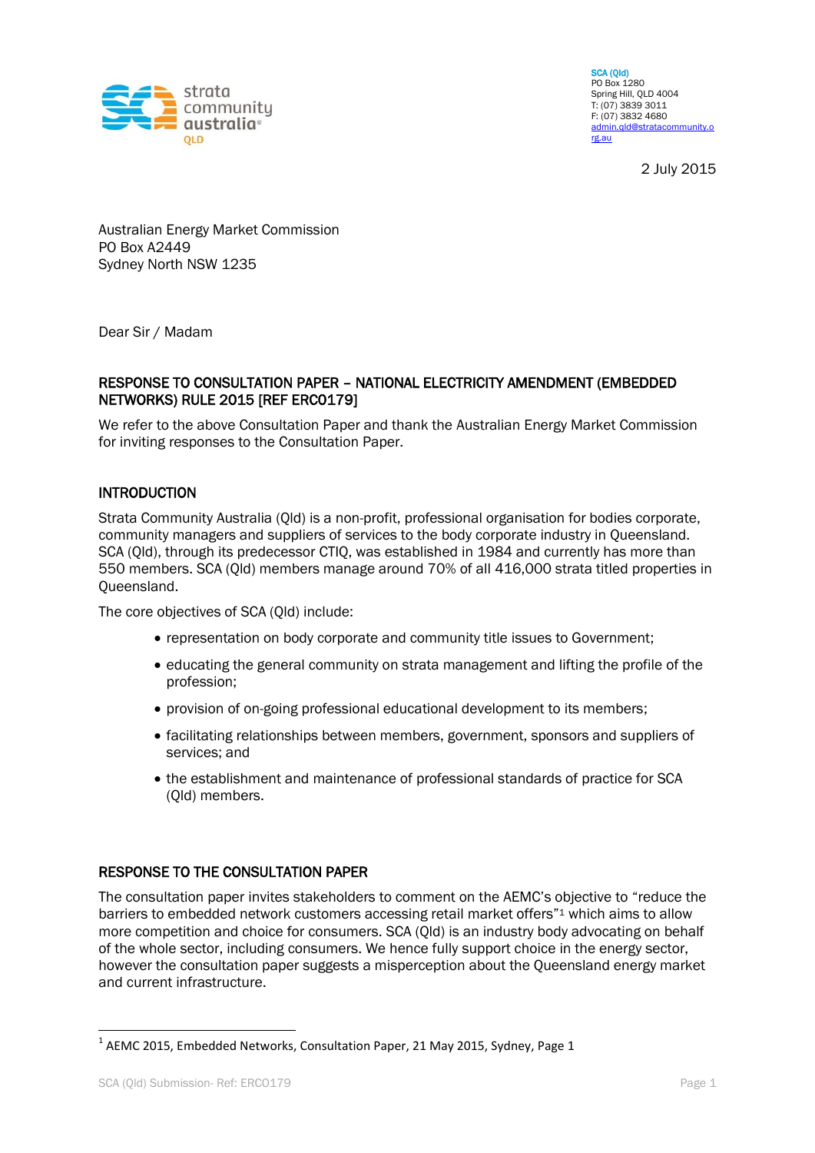

SCA (Qld) PO Box 1280 Spring Hill, QLD 4004 T: (07) 3839 3011 F: (07) 3832 4680 [admin.qld@stratacommunity.o](mailto:admin.qld@stratacommunity.org.au) [rg.au](mailto:admin.qld@stratacommunity.org.au)

2 July 2015

Australian Energy Market Commission PO Box A2449 Sydney North NSW 1235

Dear Sir / Madam

#### RESPONSE TO CONSULTATION PAPER – NATIONAL ELECTRICITY AMENDMENT (EMBEDDED NETWORKS) RULE 2015 [REF ERC0179]

We refer to the above Consultation Paper and thank the Australian Energy Market Commission for inviting responses to the Consultation Paper.

#### INTRODUCTION

Strata Community Australia (Qld) is a non-profit, professional organisation for bodies corporate, community managers and suppliers of services to the body corporate industry in Queensland. SCA (Qld), through its predecessor CTIQ, was established in 1984 and currently has more than 550 members. SCA (Qld) members manage around 70% of all 416,000 strata titled properties in Queensland.

The core objectives of SCA (Qld) include:

- representation on body corporate and community title issues to Government;
- educating the general community on strata management and lifting the profile of the profession;
- provision of on-going professional educational development to its members;
- facilitating relationships between members, government, sponsors and suppliers of services; and
- the establishment and maintenance of professional standards of practice for SCA (Qld) members.

#### RESPONSE TO THE CONSULTATION PAPER

The consultation paper invites stakeholders to comment on the AEMC's objective to "reduce the barriers to embedded network customers accessing retail market offers"<sup>1</sup> which aims to allow more competition and choice for consumers. SCA (Qld) is an industry body advocating on behalf of the whole sector, including consumers. We hence fully support choice in the energy sector, however the consultation paper suggests a misperception about the Queensland energy market and current infrastructure.

**.** 

 $^{1}$  AEMC 2015, Embedded Networks, Consultation Paper, 21 May 2015, Sydney, Page 1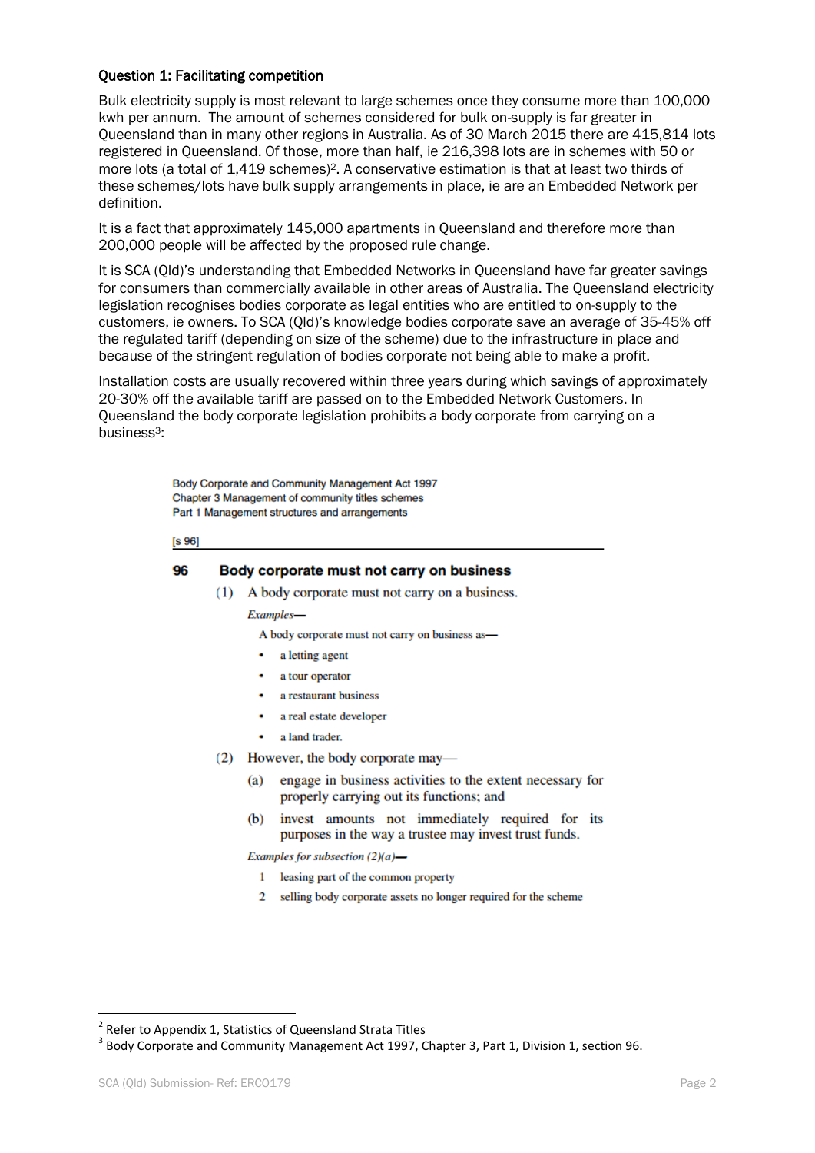#### Question 1: Facilitating competition

Bulk electricity supply is most relevant to large schemes once they consume more than 100,000 kwh per annum. The amount of schemes considered for bulk on-supply is far greater in Queensland than in many other regions in Australia. As of 30 March 2015 there are 415,814 lots registered in Queensland. Of those, more than half, ie 216,398 lots are in schemes with 50 or more lots (a total of 1,419 schemes)2. A conservative estimation is that at least two thirds of these schemes/lots have bulk supply arrangements in place, ie are an Embedded Network per definition.

It is a fact that approximately 145,000 apartments in Queensland and therefore more than 200,000 people will be affected by the proposed rule change.

It is SCA (Qld)'s understanding that Embedded Networks in Queensland have far greater savings for consumers than commercially available in other areas of Australia. The Queensland electricity legislation recognises bodies corporate as legal entities who are entitled to on-supply to the customers, ie owners. To SCA (Qld)'s knowledge bodies corporate save an average of 35-45% off the regulated tariff (depending on size of the scheme) due to the infrastructure in place and because of the stringent regulation of bodies corporate not being able to make a profit.

Installation costs are usually recovered within three years during which savings of approximately 20-30% off the available tariff are passed on to the Embedded Network Customers. In Queensland the body corporate legislation prohibits a body corporate from carrying on a business3:

> Body Corporate and Community Management Act 1997 Chapter 3 Management of community titles schemes Part 1 Management structures and arrangements

 $[s 96]$ 

#### 96 Body corporate must not carry on business

(1) A body corporate must not carry on a business.

Examples-

A body corporate must not carry on business as-

- a letting agent
- a tour operator
- a restaurant business
- a real estate developer
- a land trader.
- (2) However, the body corporate may
	- engage in business activities to the extent necessary for (a) properly carrying out its functions; and
	- invest amounts not immediately required for its  $(b)$ purposes in the way a trustee may invest trust funds.

Examples for subsection  $(2)(a)$ —

- 1 leasing part of the common property
- 2 selling body corporate assets no longer required for the scheme

 2 Refer to Appendix 1, Statistics of Queensland Strata Titles

 $3$  Body Corporate and Community Management Act 1997, Chapter 3, Part 1, Division 1, section 96.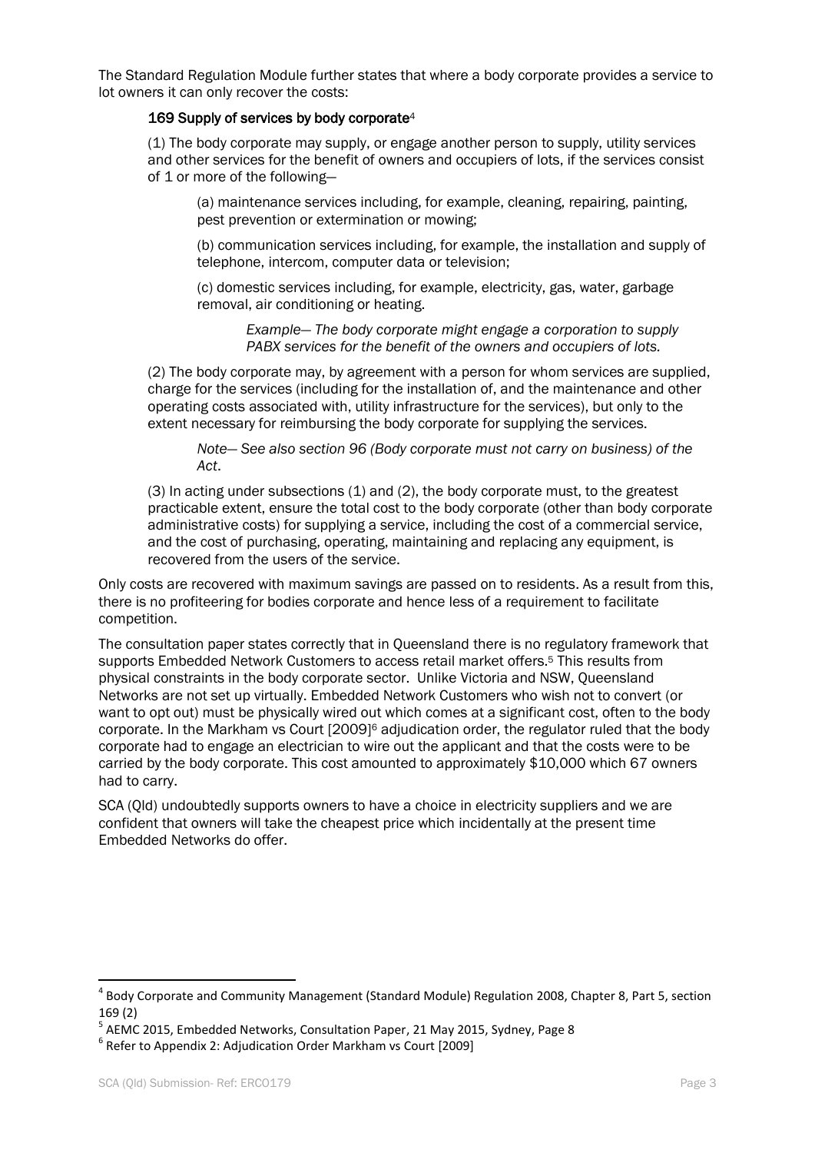The Standard Regulation Module further states that where a body corporate provides a service to lot owners it can only recover the costs:

#### $169$  Supply of services by body corporate<sup>4</sup>

(1) The body corporate may supply, or engage another person to supply, utility services and other services for the benefit of owners and occupiers of lots, if the services consist of 1 or more of the following—

(a) maintenance services including, for example, cleaning, repairing, painting, pest prevention or extermination or mowing;

(b) communication services including, for example, the installation and supply of telephone, intercom, computer data or television;

(c) domestic services including, for example, electricity, gas, water, garbage removal, air conditioning or heating.

> *Example— The body corporate might engage a corporation to supply PABX services for the benefit of the owners and occupiers of lots.*

(2) The body corporate may, by agreement with a person for whom services are supplied, charge for the services (including for the installation of, and the maintenance and other operating costs associated with, utility infrastructure for the services), but only to the extent necessary for reimbursing the body corporate for supplying the services.

*Note— See also section 96 (Body corporate must not carry on business) of the Act*.

(3) In acting under subsections (1) and (2), the body corporate must, to the greatest practicable extent, ensure the total cost to the body corporate (other than body corporate administrative costs) for supplying a service, including the cost of a commercial service, and the cost of purchasing, operating, maintaining and replacing any equipment, is recovered from the users of the service.

Only costs are recovered with maximum savings are passed on to residents. As a result from this, there is no profiteering for bodies corporate and hence less of a requirement to facilitate competition.

The consultation paper states correctly that in Queensland there is no regulatory framework that supports Embedded Network Customers to access retail market offers.<sup>5</sup> This results from physical constraints in the body corporate sector. Unlike Victoria and NSW, Queensland Networks are not set up virtually. Embedded Network Customers who wish not to convert (or want to opt out) must be physically wired out which comes at a significant cost, often to the body corporate. In the Markham vs Court [2009]<sup>6</sup> adjudication order, the regulator ruled that the body corporate had to engage an electrician to wire out the applicant and that the costs were to be carried by the body corporate. This cost amounted to approximately \$10,000 which 67 owners had to carry.

SCA (Qld) undoubtedly supports owners to have a choice in electricity suppliers and we are confident that owners will take the cheapest price which incidentally at the present time Embedded Networks do offer.

**.** 

<sup>4</sup> Body Corporate and Community Management (Standard Module) Regulation 2008, Chapter 8, Part 5, section 169 (2)

<sup>&</sup>lt;sup>5</sup> AEMC 2015, Embedded Networks, Consultation Paper, 21 May 2015, Sydney, Page 8

<sup>6</sup> Refer to Appendix 2: Adjudication Order Markham vs Court [2009]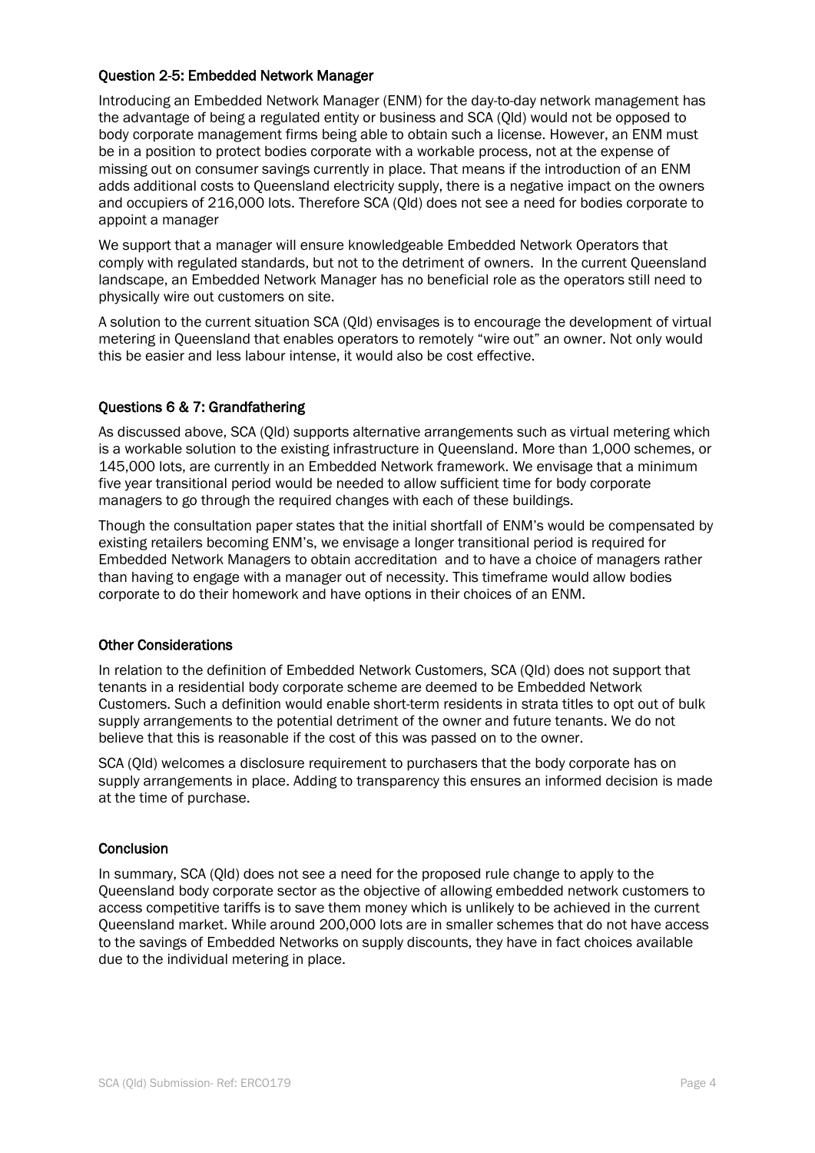#### Question 2-5: Embedded Network Manager

Introducing an Embedded Network Manager (ENM) for the day-to-day network management has the advantage of being a regulated entity or business and SCA (Qld) would not be opposed to body corporate management firms being able to obtain such a license. However, an ENM must be in a position to protect bodies corporate with a workable process, not at the expense of missing out on consumer savings currently in place. That means if the introduction of an ENM adds additional costs to Queensland electricity supply, there is a negative impact on the owners and occupiers of 216,000 lots. Therefore SCA (Qld) does not see a need for bodies corporate to appoint a manager

We support that a manager will ensure knowledgeable Embedded Network Operators that comply with regulated standards, but not to the detriment of owners. In the current Queensland landscape, an Embedded Network Manager has no beneficial role as the operators still need to physically wire out customers on site.

A solution to the current situation SCA (Qld) envisages is to encourage the development of virtual metering in Queensland that enables operators to remotely "wire out" an owner. Not only would this be easier and less labour intense, it would also be cost effective.

#### Questions 6 & 7: Grandfathering

As discussed above, SCA (Qld) supports alternative arrangements such as virtual metering which is a workable solution to the existing infrastructure in Queensland. More than 1,000 schemes, or 145,000 lots, are currently in an Embedded Network framework. We envisage that a minimum five year transitional period would be needed to allow sufficient time for body corporate managers to go through the required changes with each of these buildings.

Though the consultation paper states that the initial shortfall of ENM's would be compensated by existing retailers becoming ENM's, we envisage a longer transitional period is required for Embedded Network Managers to obtain accreditation and to have a choice of managers rather than having to engage with a manager out of necessity. This timeframe would allow bodies corporate to do their homework and have options in their choices of an ENM.

#### Other Considerations

In relation to the definition of Embedded Network Customers, SCA (Qld) does not support that tenants in a residential body corporate scheme are deemed to be Embedded Network Customers. Such a definition would enable short-term residents in strata titles to opt out of bulk supply arrangements to the potential detriment of the owner and future tenants. We do not believe that this is reasonable if the cost of this was passed on to the owner.

SCA (Qld) welcomes a disclosure requirement to purchasers that the body corporate has on supply arrangements in place. Adding to transparency this ensures an informed decision is made at the time of purchase.

#### **Conclusion**

In summary, SCA (Qld) does not see a need for the proposed rule change to apply to the Queensland body corporate sector as the objective of allowing embedded network customers to access competitive tariffs is to save them money which is unlikely to be achieved in the current Queensland market. While around 200,000 lots are in smaller schemes that do not have access to the savings of Embedded Networks on supply discounts, they have in fact choices available due to the individual metering in place.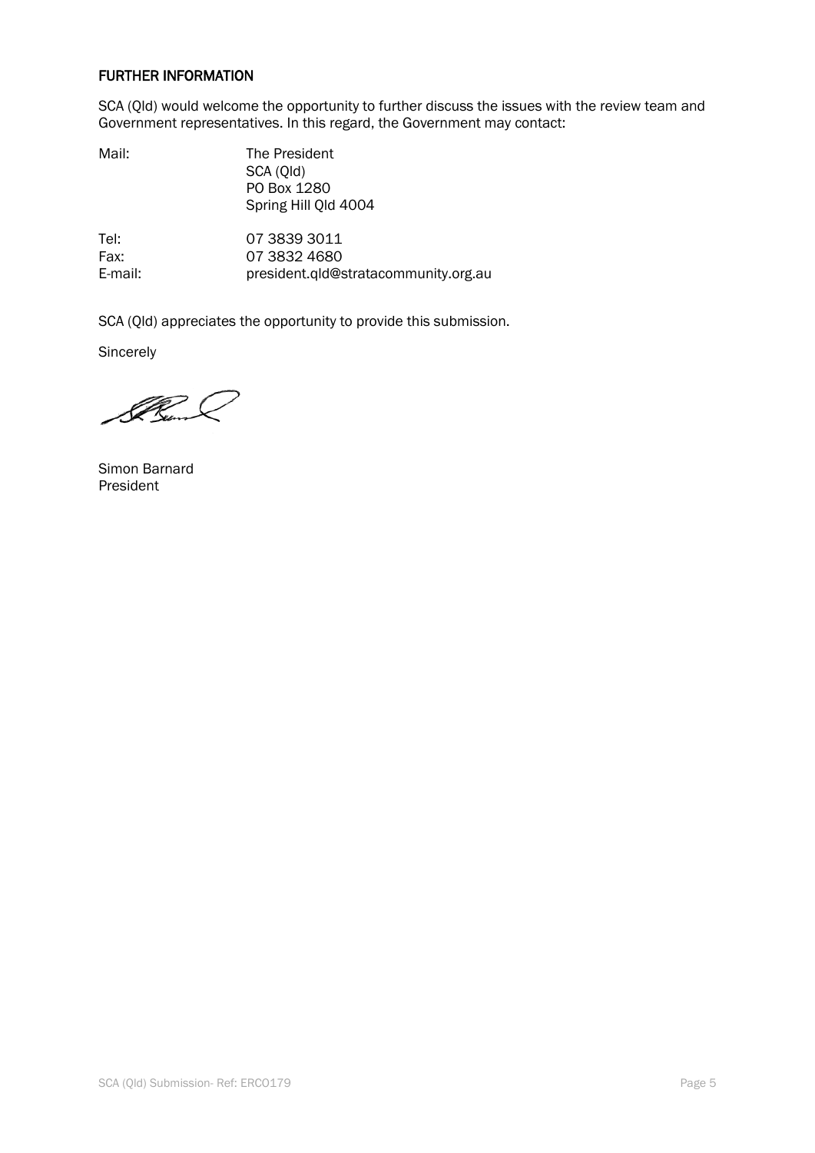#### FURTHER INFORMATION

SCA (Qld) would welcome the opportunity to further discuss the issues with the review team and Government representatives. In this regard, the Government may contact:

| Mail: | The President<br>SCA (Qld) |  |  |  |
|-------|----------------------------|--|--|--|
|       | PO Box 1280                |  |  |  |
|       | Spring Hill Old 4004       |  |  |  |

Tel: 07 3839 3011 Fax: 07 3832 4680 E-mail: president.qld@stratacommunity.org.au

SCA (Qld) appreciates the opportunity to provide this submission.

**Sincerely** 

Il Cum L

Simon Barnard President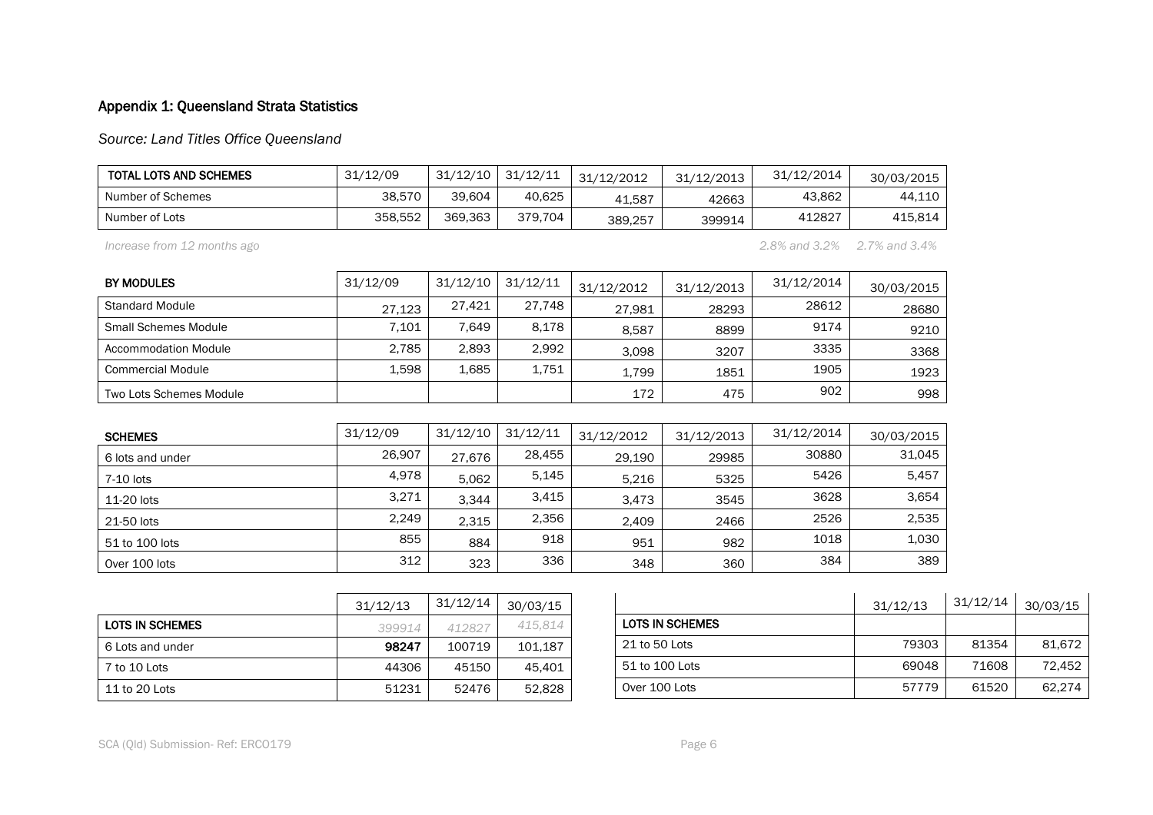# Appendix 1: Queensland Strata Statistics

*Source: Land Titles Office Queensland*

| <b>TOTAL LOTS AND SCHEMES</b> | 31/12/09 | 31/12/10 | 31/12/11 | 31/12/2012 | 31/12/2013 | 31/12/2014 | 30/03/2015 |
|-------------------------------|----------|----------|----------|------------|------------|------------|------------|
| Number of Schemes             | 38.570   | 39.604   | 40.625   | 41.587     | 42663      | 43,862     | 44.110     |
| Number of Lots                | 358.552  | 369.363  | 379.704  | 389,257    | 399914     | 412827     | 415.814    |

*Increase from 12 months ago 2.8% and 3.2% 2.7% and 3.4%*

| <b>BY MODULES</b>           | 31/12/09 | 31/12/10 | 31/12/11 | 31/12/2012 | 31/12/2013 | 31/12/2014 | 30/03/2015 |
|-----------------------------|----------|----------|----------|------------|------------|------------|------------|
| Standard Module             | 27.123   | 27,421   | 27,748   | 27.981     | 28293      | 28612      | 28680      |
| <b>Small Schemes Module</b> | 7.101    | 7.649    | 8.178    | 8.587      | 8899       | 9174       | 9210       |
| <b>Accommodation Module</b> | 2.785    | 2,893    | 2.992    | 3.098      | 3207       | 3335       | 3368       |
| <b>Commercial Module</b>    | 1,598    | 1.685    | 1,751    | 1,799      | 1851       | 1905       | 1923       |
| Two Lots Schemes Module     |          |          |          | 172        | 475        | 902        | 998        |

| <b>SCHEMES</b>   | 31/12/09 | 31/12/10 | 31/12/11 | 31/12/2012 | 31/12/2013 | 31/12/2014 | 30/03/2015 |
|------------------|----------|----------|----------|------------|------------|------------|------------|
| 6 lots and under | 26,907   | 27.676   | 28,455   | 29,190     | 29985      | 30880      | 31.045     |
| 7-10 lots        | 4,978    | 5.062    | 5,145    | 5.216      | 5325       | 5426       | 5,457      |
| 11-20 lots       | 3,271    | 3.344    | 3,415    | 3.473      | 3545       | 3628       | 3,654      |
| 21-50 lots       | 2,249    | 2.315    | 2,356    | 2.409      | 2466       | 2526       | 2,535      |
| 51 to 100 lots   | 855      | 884      | 918      | 951        | 982        | 1018       | 1,030      |
| Over 100 lots    | 312      | 323      | 336      | 348        | 360        | 384        | 389        |

|                        | 31/12/13 | 31/12/14 | 30/03/15 |
|------------------------|----------|----------|----------|
| <b>LOTS IN SCHEMES</b> | 399914   | 412827   | 415,814  |
| 6 Lots and under       | 98247    | 100719   | 101,187  |
| 7 to 10 Lots           | 44306    | 45150    | 45,401   |
| 11 to 20 Lots          | 51231    | 52476    | 52,828   |

|                 | 31/12/13 | 31/12/14 | 30/03/15 |
|-----------------|----------|----------|----------|
| LOTS IN SCHEMES |          |          |          |
| 21 to 50 Lots   | 79303    | 81354    | 81,672   |
| 51 to 100 Lots  | 69048    | 71608    | 72,452   |
| Over 100 Lots   | 57779    | 61520    | 62.274   |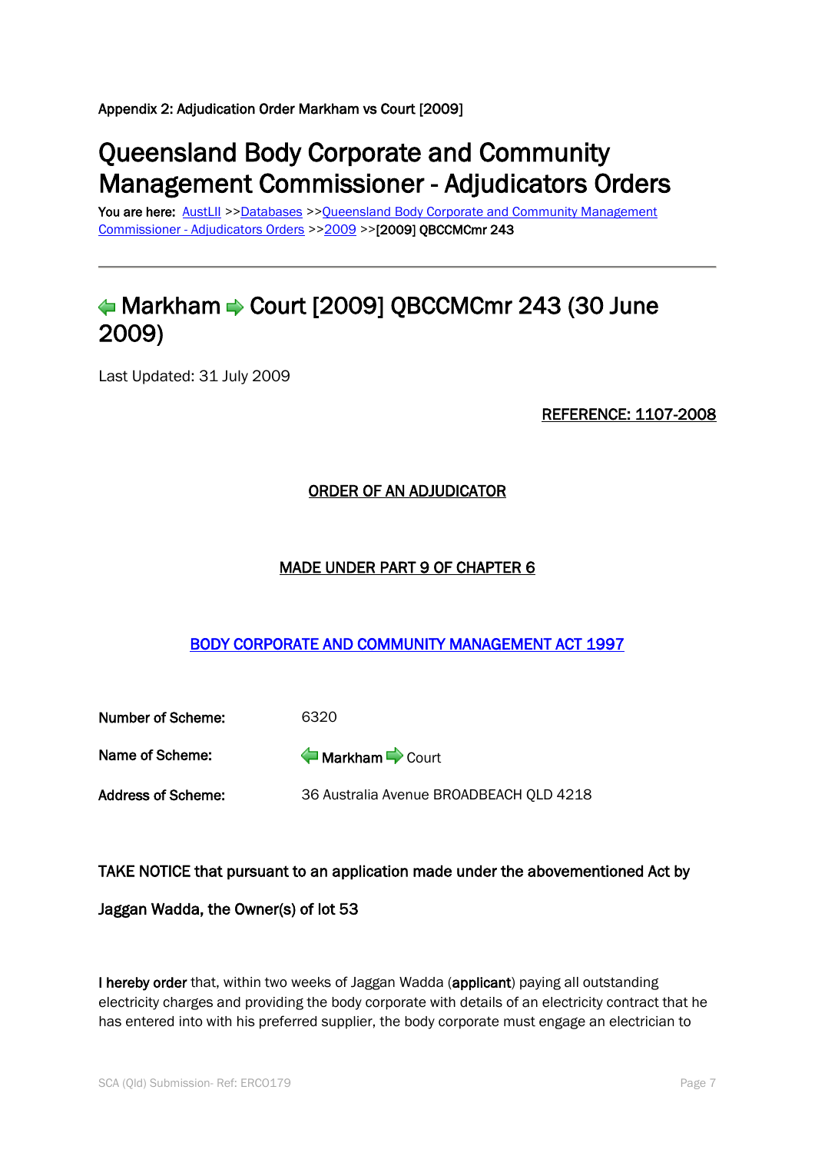Appendix 2: Adjudication Order Markham vs Court [2009]

# Queensland Body Corporate and Community Management Commissioner - Adjudicators Orders

You are here: [AustLII](http://www.austlii.edu.au/) >[>Databases](http://www.austlii.edu.au/databases.html) >>Queensland Body Corporate and Community Management Commissioner - [Adjudicators Orders](http://www.austlii.edu.au/cgi-bin/sinodisp/au/cases/qld/QBCCMCmr/) >[>2009](http://www.austlii.edu.au/cgi-bin/sinodisp/au/cases/qld/QBCCMCmr/2009/) >>[2009] QBCCMCmr 243

# $\triangleleft$ Markham  $\Rightarrow$  Court [2009] QBCCMCmr 243 (30 June 2009)

Last Updated: 31 July 2009

REFERENCE: 1107-2008

### ORDER OF AN ADJUDICATOR

#### MADE UNDER PART 9 OF CHAPTER 6

### [BODY CORPORATE AND COMMUNITY MANAGEMENT ACT 1997](http://www.austlii.edu.au/au/legis/qld/consol_act/bcacma1997388/)

| Number of Scheme:  | 6320                                    |
|--------------------|-----------------------------------------|
| Name of Scheme:    | Markham Court                           |
| Address of Scheme: | 36 Australia Avenue BROADBEACH QLD 4218 |

#### TAKE NOTICE that pursuant to an application made under the abovementioned Act by

Jaggan Wadda, the Owner(s) of lot 53

I hereby order that, within two weeks of Jaggan Wadda (applicant) paying all outstanding electricity charges and providing the body corporate with details of an electricity contract that he has entered into with his preferred supplier, the body corporate must engage an electrician to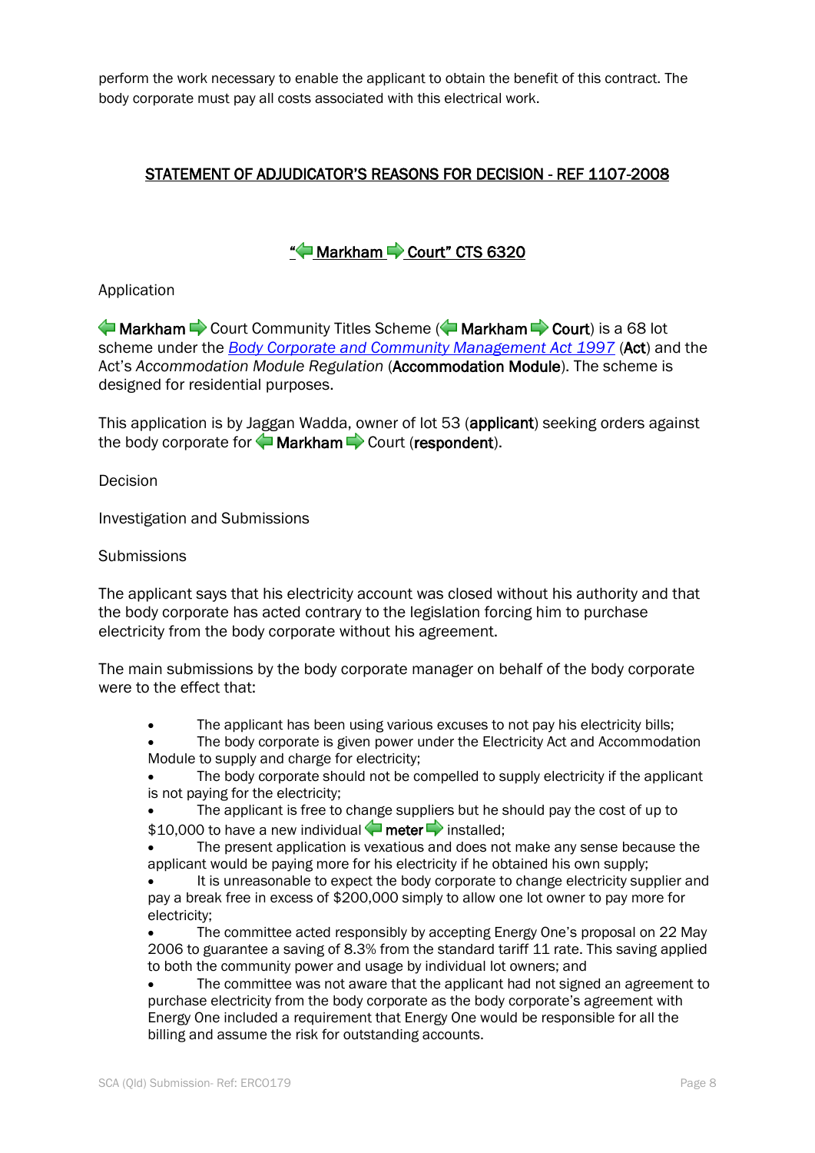perform the work necessary to enable the applicant to obtain the benefit of this contract. The body corporate must pay all costs associated with this electrical work.

### STATEMENT OF ADJUDICATOR'S REASONS FOR DECISION - REF 1107-2008

## ["](http://www.austlii.edu.au/cgi-bin/sinodisp/au/cases/qld/QBCCMCmr/2009/243.html?stem=0&synonyms=0&query=markham and meter#disp2)<sup>1</sup> Markham Court" CTS 6320

#### Application

MarkhamCourt Community Titles Scheme ( $\blacktriangle$  Markham  $\blacktriangleright$  Court) is a 68 lot scheme under the *[Body Corporate and Community Management Act 1997](http://www.austlii.edu.au/au/legis/qld/consol_act/bcacma1997388/)* (Act) and the Act's *Accommodation Module Regulation* (Accommodation Module). The scheme is designed for residential purposes.

This application is by Jaggan Wadda, owner of lot 53 (applicant) seeking orders against thebody corporate for  $\blacklozenge$  Markham  $\blacktriangleright$  Court (respondent).

Decision

Investigation and Submissions

#### **Submissions**

The applicant says that his electricity account was closed without his authority and that the body corporate has acted contrary to the legislation forcing him to purchase electricity from the body corporate without his agreement.

The main submissions by the body corporate manager on behalf of the body corporate were to the effect that:

The applicant has been using various excuses to not pay his electricity bills;

 The body corporate is given power under the Electricity Act and Accommodation Module to supply and charge for electricity;

 The body corporate should not be compelled to supply electricity if the applicant is not paying for the electricity;

 The applicant is free to change suppliers but he should pay the cost of up to \$10,000to have a new individual  $\blacklozenge$  meter  $\blacktriangleright$  installed;

 The present application is vexatious and does not make any sense because the applicant would be paying more for his electricity if he obtained his own supply;

 It is unreasonable to expect the body corporate to change electricity supplier and pay a break free in excess of \$200,000 simply to allow one lot owner to pay more for electricity;

 The committee acted responsibly by accepting Energy One's proposal on 22 May 2006 to guarantee a saving of 8.3% from the standard tariff 11 rate. This saving applied to both the community power and usage by individual lot owners; and

 The committee was not aware that the applicant had not signed an agreement to purchase electricity from the body corporate as the body corporate's agreement with Energy One included a requirement that Energy One would be responsible for all the billing and assume the risk for outstanding accounts.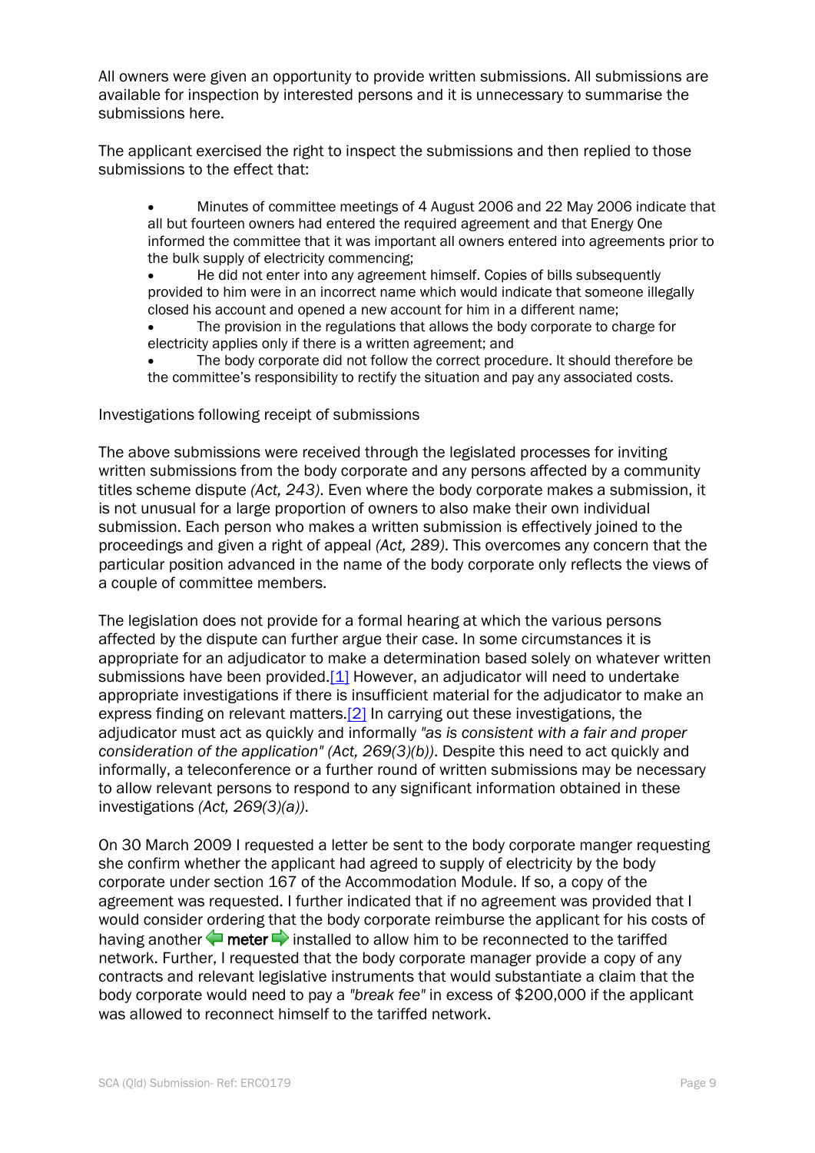All owners were given an opportunity to provide written submissions. All submissions are available for inspection by interested persons and it is unnecessary to summarise the submissions here.

The applicant exercised the right to inspect the submissions and then replied to those submissions to the effect that:

 Minutes of committee meetings of 4 August 2006 and 22 May 2006 indicate that all but fourteen owners had entered the required agreement and that Energy One informed the committee that it was important all owners entered into agreements prior to the bulk supply of electricity commencing;

 He did not enter into any agreement himself. Copies of bills subsequently provided to him were in an incorrect name which would indicate that someone illegally closed his account and opened a new account for him in a different name;

- The provision in the regulations that allows the body corporate to charge for electricity applies only if there is a written agreement; and
- The body corporate did not follow the correct procedure. It should therefore be the committee's responsibility to rectify the situation and pay any associated costs.

#### Investigations following receipt of submissions

The above submissions were received through the legislated processes for inviting written submissions from the body corporate and any persons affected by a community titles scheme dispute *(Act, 243)*. Even where the body corporate makes a submission, it is not unusual for a large proportion of owners to also make their own individual submission. Each person who makes a written submission is effectively joined to the proceedings and given a right of appeal *(Act, 289)*. This overcomes any concern that the particular position advanced in the name of the body corporate only reflects the views of a couple of committee members.

The legislation does not provide for a formal hearing at which the various persons affected by the dispute can further argue their case. In some circumstances it is appropriate for an adjudicator to make a determination based solely on whatever written submissions have been provided[.\[1\]](http://www.austlii.edu.au/cgi-bin/sinodisp/au/cases/qld/QBCCMCmr/2009/243.html?stem=0&synonyms=0&query=markham%20and%20meter#fn1) However, an adjudicator will need to undertake appropriate investigations if there is insufficient material for the adjudicator to make an express finding on relevant matters[.\[2\]](http://www.austlii.edu.au/cgi-bin/sinodisp/au/cases/qld/QBCCMCmr/2009/243.html?stem=0&synonyms=0&query=markham%20and%20meter#fn2) In carrying out these investigations, the adjudicator must act as quickly and informally *"as is consistent with a fair and proper consideration of the application" (Act, 269(3)(b))*. Despite this need to act quickly and informally, a teleconference or a further round of written submissions may be necessary to allow relevant persons to respond to any significant information obtained in these investigations *(Act, 269(3)(a))*.

On 30 March 2009 I requested a letter be sent to the body corporate manger requesting she confirm whether the applicant had agreed to supply of electricity by the body corporate under section 167 of the Accommodation Module. If so, a copy of the agreement was requested. I further indicated that if no agreement was provided that I would consider ordering that the body corporate reimburse the applicant for his costs of having another  $\blacklozenge$  meter  $\blacktriangleright$  installed to allow him to be reconnected to the tariffed network. Further, I requested that the body corporate manager provide a copy of any contracts and relevant legislative instruments that would substantiate a claim that the body corporate would need to pay a *"break fee"* in excess of \$200,000 if the applicant was allowed to reconnect himself to the tariffed network.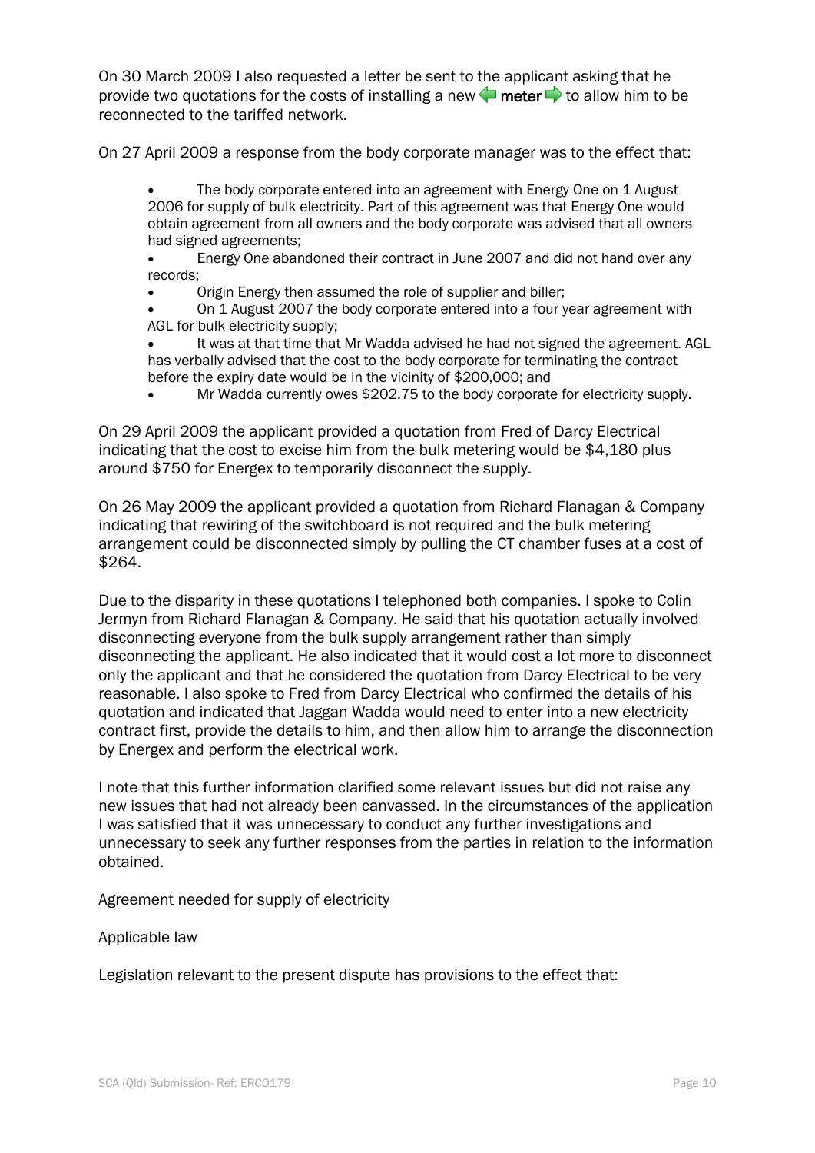On 30 March 2009 I also requested a letter be sent to the applicant asking that he provide two quotations for the costs of installing a new  $\blacktriangle$  meter  $\blacktriangleright$  to allow him to be reconnected to the tariffed network.

On 27 April 2009 a response from the body corporate manager was to the effect that:

 The body corporate entered into an agreement with Energy One on 1 August 2006 for supply of bulk electricity. Part of this agreement was that Energy One would obtain agreement from all owners and the body corporate was advised that all owners had signed agreements;

 Energy One abandoned their contract in June 2007 and did not hand over any records;

Origin Energy then assumed the role of supplier and biller;

 On 1 August 2007 the body corporate entered into a four year agreement with AGL for bulk electricity supply;

 It was at that time that Mr Wadda advised he had not signed the agreement. AGL has verbally advised that the cost to the body corporate for terminating the contract before the expiry date would be in the vicinity of \$200,000; and

Mr Wadda currently owes \$202.75 to the body corporate for electricity supply.

On 29 April 2009 the applicant provided a quotation from Fred of Darcy Electrical indicating that the cost to excise him from the bulk metering would be \$4,180 plus around \$750 for Energex to temporarily disconnect the supply.

On 26 May 2009 the applicant provided a quotation from Richard Flanagan & Company indicating that rewiring of the switchboard is not required and the bulk metering arrangement could be disconnected simply by pulling the CT chamber fuses at a cost of \$264.

Due to the disparity in these quotations I telephoned both companies. I spoke to Colin Jermyn from Richard Flanagan & Company. He said that his quotation actually involved disconnecting everyone from the bulk supply arrangement rather than simply disconnecting the applicant. He also indicated that it would cost a lot more to disconnect only the applicant and that he considered the quotation from Darcy Electrical to be very reasonable. I also spoke to Fred from Darcy Electrical who confirmed the details of his quotation and indicated that Jaggan Wadda would need to enter into a new electricity contract first, provide the details to him, and then allow him to arrange the disconnection by Energex and perform the electrical work.

I note that this further information clarified some relevant issues but did not raise any new issues that had not already been canvassed. In the circumstances of the application I was satisfied that it was unnecessary to conduct any further investigations and unnecessary to seek any further responses from the parties in relation to the information obtained.

Agreement needed for supply of electricity

Applicable law

Legislation relevant to the present dispute has provisions to the effect that: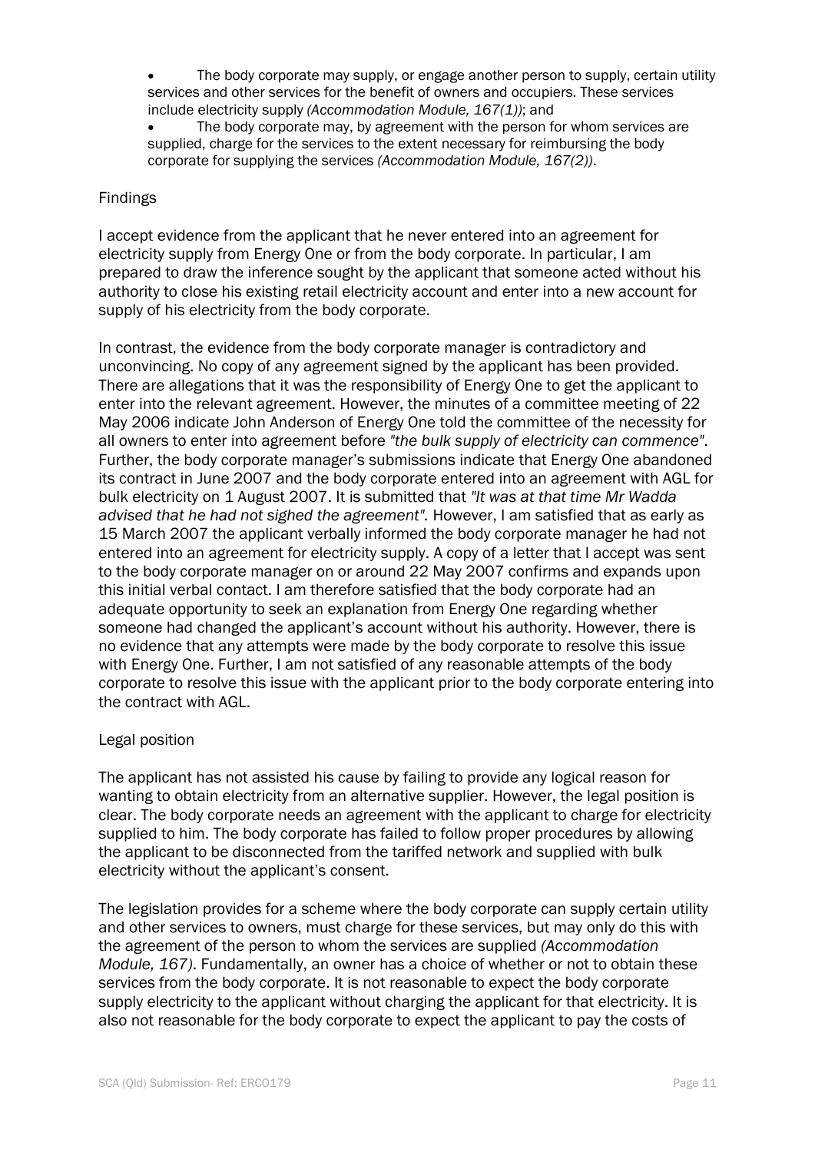- The body corporate may supply, or engage another person to supply, certain utility services and other services for the benefit of owners and occupiers. These services include electricity supply *(Accommodation Module, 167(1))*; and
- The body corporate may, by agreement with the person for whom services are supplied, charge for the services to the extent necessary for reimbursing the body corporate for supplying the services *(Accommodation Module, 167(2))*.

#### Findings

I accept evidence from the applicant that he never entered into an agreement for electricity supply from Energy One or from the body corporate. In particular, I am prepared to draw the inference sought by the applicant that someone acted without his authority to close his existing retail electricity account and enter into a new account for supply of his electricity from the body corporate.

In contrast, the evidence from the body corporate manager is contradictory and unconvincing. No copy of any agreement signed by the applicant has been provided. There are allegations that it was the responsibility of Energy One to get the applicant to enter into the relevant agreement. However, the minutes of a committee meeting of 22 May 2006 indicate John Anderson of Energy One told the committee of the necessity for all owners to enter into agreement before *"the bulk supply of electricity can commence"*. Further, the body corporate manager's submissions indicate that Energy One abandoned its contract in June 2007 and the body corporate entered into an agreement with AGL for bulk electricity on 1 August 2007. It is submitted that *"It was at that time Mr Wadda advised that he had not sighed the agreement".* However, I am satisfied that as early as 15 March 2007 the applicant verbally informed the body corporate manager he had not entered into an agreement for electricity supply. A copy of a letter that I accept was sent to the body corporate manager on or around 22 May 2007 confirms and expands upon this initial verbal contact. I am therefore satisfied that the body corporate had an adequate opportunity to seek an explanation from Energy One regarding whether someone had changed the applicant's account without his authority. However, there is no evidence that any attempts were made by the body corporate to resolve this issue with Energy One. Further, I am not satisfied of any reasonable attempts of the body corporate to resolve this issue with the applicant prior to the body corporate entering into the contract with AGL.

#### Legal position

The applicant has not assisted his cause by failing to provide any logical reason for wanting to obtain electricity from an alternative supplier. However, the legal position is clear. The body corporate needs an agreement with the applicant to charge for electricity supplied to him. The body corporate has failed to follow proper procedures by allowing the applicant to be disconnected from the tariffed network and supplied with bulk electricity without the applicant's consent.

The legislation provides for a scheme where the body corporate can supply certain utility and other services to owners, must charge for these services, but may only do this with the agreement of the person to whom the services are supplied *(Accommodation Module, 167)*. Fundamentally, an owner has a choice of whether or not to obtain these services from the body corporate. It is not reasonable to expect the body corporate supply electricity to the applicant without charging the applicant for that electricity. It is also not reasonable for the body corporate to expect the applicant to pay the costs of